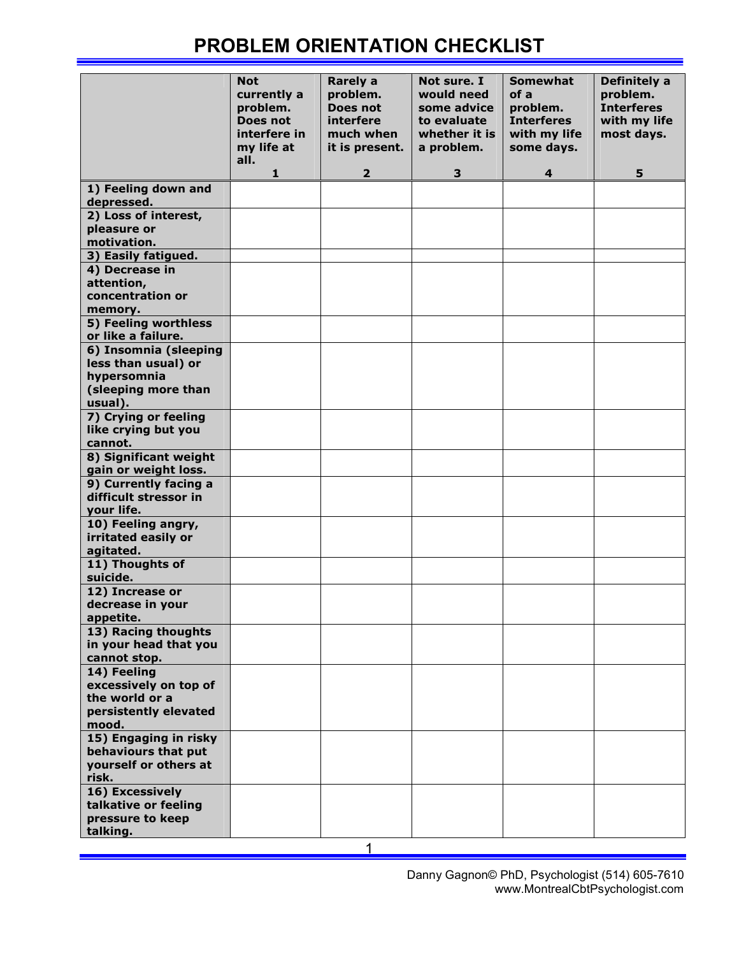## PROBLEM ORIENTATION CHECKLIST

|                                               | <b>Not</b><br>currently a<br>problem.<br>Does not<br>interfere in<br>my life at<br>all.<br>1 | <b>Rarely a</b><br>problem.<br>Does not<br>interfere<br>much when<br>it is present.<br>$\overline{2}$ | Not sure. I<br>would need<br>some advice<br>to evaluate<br>whether it is<br>a problem.<br>3 | <b>Somewhat</b><br>of a<br>problem.<br><b>Interferes</b><br>with my life<br>some days.<br>4 | Definitely a<br>problem.<br><b>Interferes</b><br>with my life<br>most days.<br>5 |
|-----------------------------------------------|----------------------------------------------------------------------------------------------|-------------------------------------------------------------------------------------------------------|---------------------------------------------------------------------------------------------|---------------------------------------------------------------------------------------------|----------------------------------------------------------------------------------|
| 1) Feeling down and                           |                                                                                              |                                                                                                       |                                                                                             |                                                                                             |                                                                                  |
| depressed.                                    |                                                                                              |                                                                                                       |                                                                                             |                                                                                             |                                                                                  |
| 2) Loss of interest,<br>pleasure or           |                                                                                              |                                                                                                       |                                                                                             |                                                                                             |                                                                                  |
| motivation.                                   |                                                                                              |                                                                                                       |                                                                                             |                                                                                             |                                                                                  |
| 3) Easily fatigued.                           |                                                                                              |                                                                                                       |                                                                                             |                                                                                             |                                                                                  |
| 4) Decrease in                                |                                                                                              |                                                                                                       |                                                                                             |                                                                                             |                                                                                  |
| attention,                                    |                                                                                              |                                                                                                       |                                                                                             |                                                                                             |                                                                                  |
| concentration or<br>memory.                   |                                                                                              |                                                                                                       |                                                                                             |                                                                                             |                                                                                  |
| 5) Feeling worthless                          |                                                                                              |                                                                                                       |                                                                                             |                                                                                             |                                                                                  |
| or like a failure.                            |                                                                                              |                                                                                                       |                                                                                             |                                                                                             |                                                                                  |
| 6) Insomnia (sleeping                         |                                                                                              |                                                                                                       |                                                                                             |                                                                                             |                                                                                  |
| less than usual) or                           |                                                                                              |                                                                                                       |                                                                                             |                                                                                             |                                                                                  |
| hypersomnia<br>(sleeping more than            |                                                                                              |                                                                                                       |                                                                                             |                                                                                             |                                                                                  |
| usual).                                       |                                                                                              |                                                                                                       |                                                                                             |                                                                                             |                                                                                  |
| 7) Crying or feeling                          |                                                                                              |                                                                                                       |                                                                                             |                                                                                             |                                                                                  |
| like crying but you                           |                                                                                              |                                                                                                       |                                                                                             |                                                                                             |                                                                                  |
| cannot.                                       |                                                                                              |                                                                                                       |                                                                                             |                                                                                             |                                                                                  |
| 8) Significant weight<br>gain or weight loss. |                                                                                              |                                                                                                       |                                                                                             |                                                                                             |                                                                                  |
| 9) Currently facing a                         |                                                                                              |                                                                                                       |                                                                                             |                                                                                             |                                                                                  |
| difficult stressor in                         |                                                                                              |                                                                                                       |                                                                                             |                                                                                             |                                                                                  |
| your life.                                    |                                                                                              |                                                                                                       |                                                                                             |                                                                                             |                                                                                  |
| 10) Feeling angry,                            |                                                                                              |                                                                                                       |                                                                                             |                                                                                             |                                                                                  |
| irritated easily or<br>agitated.              |                                                                                              |                                                                                                       |                                                                                             |                                                                                             |                                                                                  |
| 11) Thoughts of                               |                                                                                              |                                                                                                       |                                                                                             |                                                                                             |                                                                                  |
| suicide.                                      |                                                                                              |                                                                                                       |                                                                                             |                                                                                             |                                                                                  |
| 12) Increase or                               |                                                                                              |                                                                                                       |                                                                                             |                                                                                             |                                                                                  |
| decrease in your<br>appetite.                 |                                                                                              |                                                                                                       |                                                                                             |                                                                                             |                                                                                  |
| 13) Racing thoughts                           |                                                                                              |                                                                                                       |                                                                                             |                                                                                             |                                                                                  |
| in your head that you                         |                                                                                              |                                                                                                       |                                                                                             |                                                                                             |                                                                                  |
| cannot stop.                                  |                                                                                              |                                                                                                       |                                                                                             |                                                                                             |                                                                                  |
| 14) Feeling                                   |                                                                                              |                                                                                                       |                                                                                             |                                                                                             |                                                                                  |
| excessively on top of<br>the world or a       |                                                                                              |                                                                                                       |                                                                                             |                                                                                             |                                                                                  |
| persistently elevated                         |                                                                                              |                                                                                                       |                                                                                             |                                                                                             |                                                                                  |
| mood.                                         |                                                                                              |                                                                                                       |                                                                                             |                                                                                             |                                                                                  |
| 15) Engaging in risky                         |                                                                                              |                                                                                                       |                                                                                             |                                                                                             |                                                                                  |
| behaviours that put<br>yourself or others at  |                                                                                              |                                                                                                       |                                                                                             |                                                                                             |                                                                                  |
| risk.                                         |                                                                                              |                                                                                                       |                                                                                             |                                                                                             |                                                                                  |
| 16) Excessively                               |                                                                                              |                                                                                                       |                                                                                             |                                                                                             |                                                                                  |
| talkative or feeling                          |                                                                                              |                                                                                                       |                                                                                             |                                                                                             |                                                                                  |
| pressure to keep                              |                                                                                              |                                                                                                       |                                                                                             |                                                                                             |                                                                                  |
| talking.                                      |                                                                                              | 1                                                                                                     |                                                                                             |                                                                                             |                                                                                  |